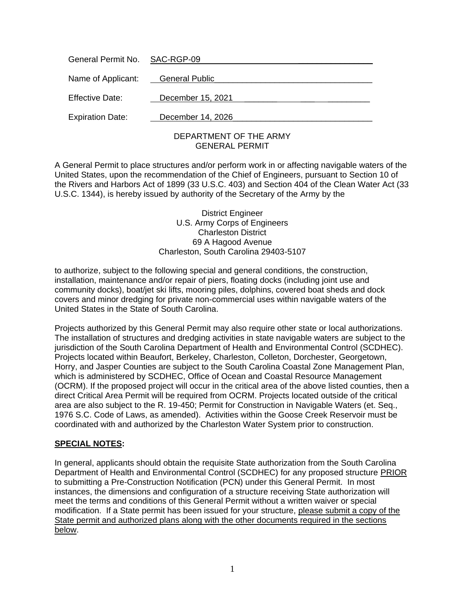| General Permit No. SAC-RGP-09     |                        |
|-----------------------------------|------------------------|
| Name of Applicant: General Public |                        |
| <b>Effective Date:</b>            | December 15, 2021      |
| <b>Expiration Date:</b>           | December 14, 2026      |
|                                   | DEPARTMENT OF THE ARMY |

# GENERAL PERMIT

A General Permit to place structures and/or perform work in or affecting navigable waters of the United States, upon the recommendation of the Chief of Engineers, pursuant to Section 10 of the Rivers and Harbors Act of 1899 (33 U.S.C. 403) and Section 404 of the Clean Water Act (33 U.S.C. 1344), is hereby issued by authority of the Secretary of the Army by the

> District Engineer U.S. Army Corps of Engineers Charleston District 69 A Hagood Avenue Charleston, South Carolina 29403-5107

to authorize, subject to the following special and general conditions, the construction, installation, maintenance and/or repair of piers, floating docks (including joint use and community docks), boat/jet ski lifts, mooring piles, dolphins, covered boat sheds and dock covers and minor dredging for private non-commercial uses within navigable waters of the United States in the State of South Carolina.

Projects authorized by this General Permit may also require other state or local authorizations. The installation of structures and dredging activities in state navigable waters are subject to the jurisdiction of the South Carolina Department of Health and Environmental Control (SCDHEC). Projects located within Beaufort, Berkeley, Charleston, Colleton, Dorchester, Georgetown, Horry, and Jasper Counties are subject to the South Carolina Coastal Zone Management Plan, which is administered by SCDHEC, Office of Ocean and Coastal Resource Management (OCRM). If the proposed project will occur in the critical area of the above listed counties, then a direct Critical Area Permit will be required from OCRM. Projects located outside of the critical area are also subject to the R. 19-450; Permit for Construction in Navigable Waters (et. Seq., 1976 S.C. Code of Laws, as amended). Activities within the Goose Creek Reservoir must be coordinated with and authorized by the Charleston Water System prior to construction.

# **SPECIAL NOTES:**

In general, applicants should obtain the requisite State authorization from the South Carolina Department of Health and Environmental Control (SCDHEC) for any proposed structure PRIOR to submitting a Pre-Construction Notification (PCN) under this General Permit. In most instances, the dimensions and configuration of a structure receiving State authorization will meet the terms and conditions of this General Permit without a written waiver or special modification. If a State permit has been issued for your structure, please submit a copy of the State permit and authorized plans along with the other documents required in the sections below.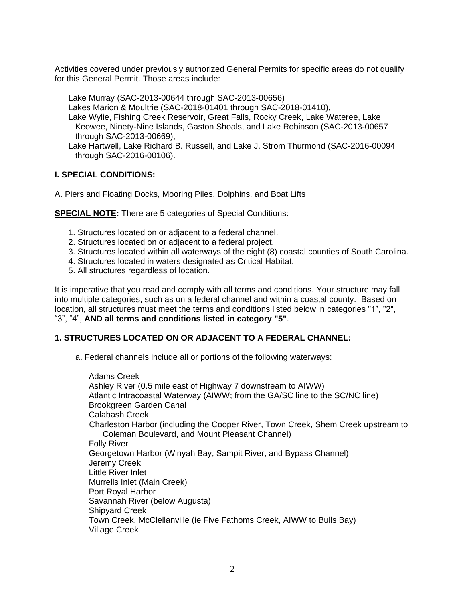Activities covered under previously authorized General Permits for specific areas do not qualify for this General Permit. Those areas include:

Lake Murray (SAC-2013-00644 through SAC-2013-00656)

Lakes Marion & Moultrie (SAC-2018-01401 through SAC-2018-01410),

Lake Wylie, Fishing Creek Reservoir, Great Falls, Rocky Creek, Lake Wateree, Lake Keowee, Ninety-Nine Islands, Gaston Shoals, and Lake Robinson (SAC-2013-00657 through SAC-2013-00669),

Lake Hartwell, Lake Richard B. Russell, and Lake J. Strom Thurmond (SAC-2016-00094 through SAC-2016-00106).

# **I. SPECIAL CONDITIONS:**

# A. Piers and Floating Docks, Mooring Piles, Dolphins, and Boat Lifts

**SPECIAL NOTE:** There are 5 categories of Special Conditions:

- 1. Structures located on or adjacent to a federal channel.
- 2. Structures located on or adjacent to a federal project.
- 3. Structures located within all waterways of the eight (8) coastal counties of South Carolina.
- 4. Structures located in waters designated as Critical Habitat.
- 5. All structures regardless of location.

It is imperative that you read and comply with all terms and conditions. Your structure may fall into multiple categories, such as on a federal channel and within a coastal county. Based on location, all structures must meet the terms and conditions listed below in categories "1", "2", "3", "4", **AND all terms and conditions listed in category "5"**.

# **1. STRUCTURES LOCATED ON OR ADJACENT TO A FEDERAL CHANNEL:**

a. Federal channels include all or portions of the following waterways:

Adams Creek Ashley River (0.5 mile east of Highway 7 downstream to AIWW) Atlantic Intracoastal Waterway (AIWW; from the GA/SC line to the SC/NC line) Brookgreen Garden Canal Calabash Creek Charleston Harbor (including the Cooper River, Town Creek, Shem Creek upstream to Coleman Boulevard, and Mount Pleasant Channel) Folly River Georgetown Harbor (Winyah Bay, Sampit River, and Bypass Channel) Jeremy Creek Little River Inlet Murrells Inlet (Main Creek) Port Royal Harbor Savannah River (below Augusta) Shipyard Creek Town Creek, McClellanville (ie Five Fathoms Creek, AIWW to Bulls Bay) Village Creek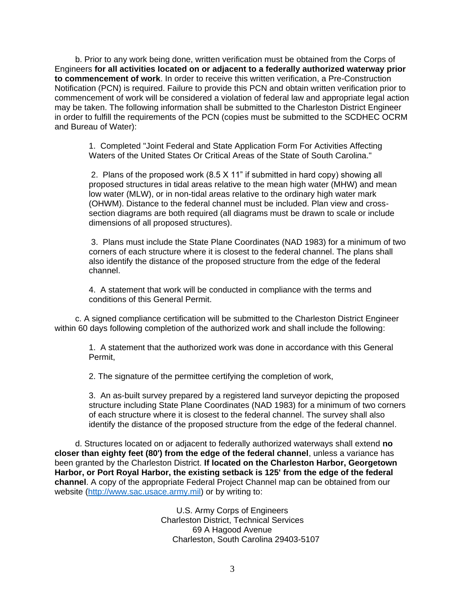b. Prior to any work being done, written verification must be obtained from the Corps of Engineers **for all activities located on or adjacent to a federally authorized waterway prior to commencement of work**. In order to receive this written verification, a Pre-Construction Notification (PCN) is required. Failure to provide this PCN and obtain written verification prior to commencement of work will be considered a violation of federal law and appropriate legal action may be taken. The following information shall be submitted to the Charleston District Engineer in order to fulfill the requirements of the PCN (copies must be submitted to the SCDHEC OCRM and Bureau of Water):

1. Completed "Joint Federal and State Application Form For Activities Affecting Waters of the United States Or Critical Areas of the State of South Carolina."

2. Plans of the proposed work (8.5 X 11" if submitted in hard copy) showing all proposed structures in tidal areas relative to the mean high water (MHW) and mean low water (MLW), or in non-tidal areas relative to the ordinary high water mark (OHWM). Distance to the federal channel must be included. Plan view and crosssection diagrams are both required (all diagrams must be drawn to scale or include dimensions of all proposed structures).

3. Plans must include the State Plane Coordinates (NAD 1983) for a minimum of two corners of each structure where it is closest to the federal channel. The plans shall also identify the distance of the proposed structure from the edge of the federal channel.

4. A statement that work will be conducted in compliance with the terms and conditions of this General Permit.

c. A signed compliance certification will be submitted to the Charleston District Engineer within 60 days following completion of the authorized work and shall include the following:

1. A statement that the authorized work was done in accordance with this General Permit,

2. The signature of the permittee certifying the completion of work,

3. An as-built survey prepared by a registered land surveyor depicting the proposed structure including State Plane Coordinates (NAD 1983) for a minimum of two corners of each structure where it is closest to the federal channel. The survey shall also identify the distance of the proposed structure from the edge of the federal channel.

d. Structures located on or adjacent to federally authorized waterways shall extend **no closer than eighty feet (80') from the edge of the federal channel**, unless a variance has been granted by the Charleston District. **If located on the Charleston Harbor, Georgetown Harbor, or Port Royal Harbor, the existing setback is 125' from the edge of the federal channel**. A copy of the appropriate Federal Project Channel map can be obtained from our website [\(http://www.sac.usace.army.mil\)](http://www.sac.usace.army.mil/) or by writing to:

> U.S. Army Corps of Engineers Charleston District, Technical Services 69 A Hagood Avenue Charleston, South Carolina 29403-5107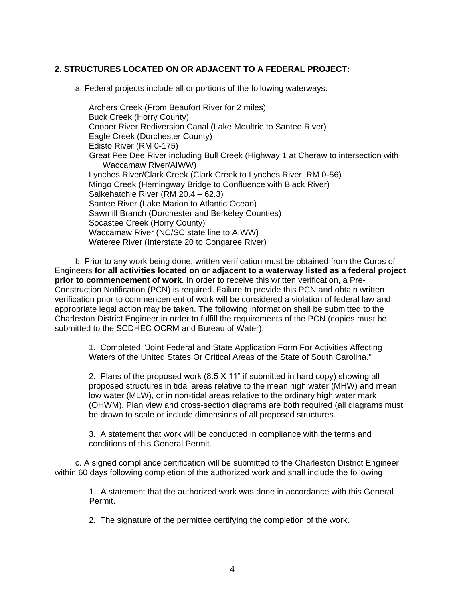# **2. STRUCTURES LOCATED ON OR ADJACENT TO A FEDERAL PROJECT:**

a. Federal projects include all or portions of the following waterways:

Archers Creek (From Beaufort River for 2 miles) Buck Creek (Horry County) Cooper River Rediversion Canal (Lake Moultrie to Santee River) Eagle Creek (Dorchester County) Edisto River (RM 0-175) Great Pee Dee River including Bull Creek (Highway 1 at Cheraw to intersection with Waccamaw River/AIWW) Lynches River/Clark Creek (Clark Creek to Lynches River, RM 0-56) Mingo Creek (Hemingway Bridge to Confluence with Black River) Salkehatchie River (RM 20.4 – 62.3) Santee River (Lake Marion to Atlantic Ocean) Sawmill Branch (Dorchester and Berkeley Counties) Socastee Creek (Horry County) Waccamaw River (NC/SC state line to AIWW) Wateree River (Interstate 20 to Congaree River)

b. Prior to any work being done, written verification must be obtained from the Corps of Engineers **for all activities located on or adjacent to a waterway listed as a federal project prior to commencement of work**. In order to receive this written verification, a Pre-Construction Notification (PCN) is required. Failure to provide this PCN and obtain written verification prior to commencement of work will be considered a violation of federal law and appropriate legal action may be taken. The following information shall be submitted to the Charleston District Engineer in order to fulfill the requirements of the PCN (copies must be submitted to the SCDHEC OCRM and Bureau of Water):

1. Completed "Joint Federal and State Application Form For Activities Affecting Waters of the United States Or Critical Areas of the State of South Carolina."

2. Plans of the proposed work (8.5 X 11" if submitted in hard copy) showing all proposed structures in tidal areas relative to the mean high water (MHW) and mean low water (MLW), or in non-tidal areas relative to the ordinary high water mark (OHWM). Plan view and cross-section diagrams are both required (all diagrams must be drawn to scale or include dimensions of all proposed structures.

3. A statement that work will be conducted in compliance with the terms and conditions of this General Permit.

c. A signed compliance certification will be submitted to the Charleston District Engineer within 60 days following completion of the authorized work and shall include the following:

1. A statement that the authorized work was done in accordance with this General Permit.

2. The signature of the permittee certifying the completion of the work.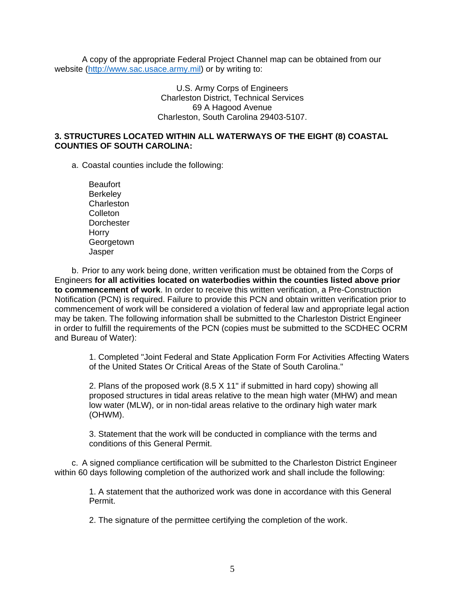A copy of the appropriate Federal Project Channel map can be obtained from our website [\(http://www.sac.usace.army.mil\)](http://www.sac.usace.army.mil/) or by writing to:

> U.S. Army Corps of Engineers Charleston District, Technical Services 69 A Hagood Avenue Charleston, South Carolina 29403-5107.

## **3. STRUCTURES LOCATED WITHIN ALL WATERWAYS OF THE EIGHT (8) COASTAL COUNTIES OF SOUTH CAROLINA:**

a. Coastal counties include the following:

Beaufort **Berkeley Charleston Colleton Dorchester** Horry **Georgetown** Jasper

b. Prior to any work being done, written verification must be obtained from the Corps of Engineers **for all activities located on waterbodies within the counties listed above prior to commencement of work**. In order to receive this written verification, a Pre-Construction Notification (PCN) is required. Failure to provide this PCN and obtain written verification prior to commencement of work will be considered a violation of federal law and appropriate legal action may be taken. The following information shall be submitted to the Charleston District Engineer in order to fulfill the requirements of the PCN (copies must be submitted to the SCDHEC OCRM and Bureau of Water):

1. Completed "Joint Federal and State Application Form For Activities Affecting Waters of the United States Or Critical Areas of the State of South Carolina."

2. Plans of the proposed work (8.5 X 11" if submitted in hard copy) showing all proposed structures in tidal areas relative to the mean high water (MHW) and mean low water (MLW), or in non-tidal areas relative to the ordinary high water mark (OHWM).

3. Statement that the work will be conducted in compliance with the terms and conditions of this General Permit.

c. A signed compliance certification will be submitted to the Charleston District Engineer within 60 days following completion of the authorized work and shall include the following:

1. A statement that the authorized work was done in accordance with this General Permit.

2. The signature of the permittee certifying the completion of the work.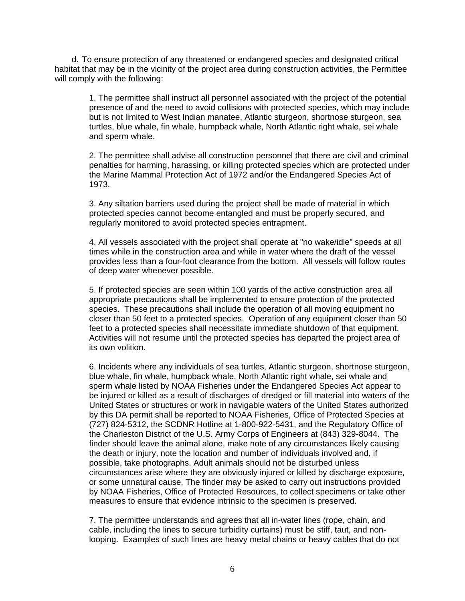d. To ensure protection of any threatened or endangered species and designated critical habitat that may be in the vicinity of the project area during construction activities, the Permittee will comply with the following:

1. The permittee shall instruct all personnel associated with the project of the potential presence of and the need to avoid collisions with protected species, which may include but is not limited to West Indian manatee, Atlantic sturgeon, shortnose sturgeon, sea turtles, blue whale, fin whale, humpback whale, North Atlantic right whale, sei whale and sperm whale.

2. The permittee shall advise all construction personnel that there are civil and criminal penalties for harming, harassing, or killing protected species which are protected under the Marine Mammal Protection Act of 1972 and/or the Endangered Species Act of 1973.

3. Any siltation barriers used during the project shall be made of material in which protected species cannot become entangled and must be properly secured, and regularly monitored to avoid protected species entrapment.

4. All vessels associated with the project shall operate at "no wake/idle" speeds at all times while in the construction area and while in water where the draft of the vessel provides less than a four-foot clearance from the bottom. All vessels will follow routes of deep water whenever possible.

5. If protected species are seen within 100 yards of the active construction area all appropriate precautions shall be implemented to ensure protection of the protected species. These precautions shall include the operation of all moving equipment no closer than 50 feet to a protected species. Operation of any equipment closer than 50 feet to a protected species shall necessitate immediate shutdown of that equipment. Activities will not resume until the protected species has departed the project area of its own volition.

6. Incidents where any individuals of sea turtles, Atlantic sturgeon, shortnose sturgeon, blue whale, fin whale, humpback whale, North Atlantic right whale, sei whale and sperm whale listed by NOAA Fisheries under the Endangered Species Act appear to be injured or killed as a result of discharges of dredged or fill material into waters of the United States or structures or work in navigable waters of the United States authorized by this DA permit shall be reported to NOAA Fisheries, Office of Protected Species at (727) 824-5312, the SCDNR Hotline at 1-800-922-5431, and the Regulatory Office of the Charleston District of the U.S. Army Corps of Engineers at (843) 329-8044. The finder should leave the animal alone, make note of any circumstances likely causing the death or injury, note the location and number of individuals involved and, if possible, take photographs. Adult animals should not be disturbed unless circumstances arise where they are obviously injured or killed by discharge exposure, or some unnatural cause. The finder may be asked to carry out instructions provided by NOAA Fisheries, Office of Protected Resources, to collect specimens or take other measures to ensure that evidence intrinsic to the specimen is preserved.

7. The permittee understands and agrees that all in-water lines (rope, chain, and cable, including the lines to secure turbidity curtains) must be stiff, taut, and nonlooping. Examples of such lines are heavy metal chains or heavy cables that do not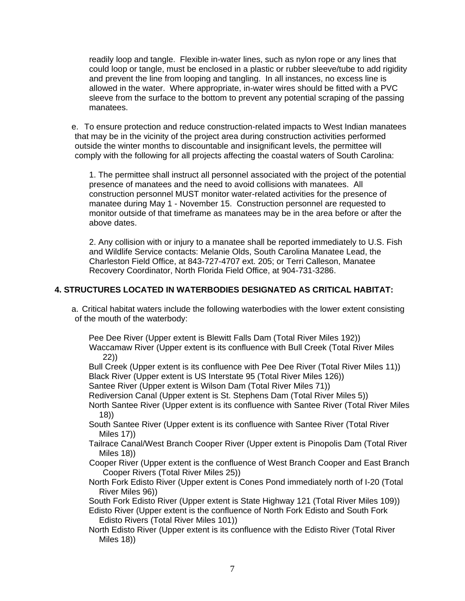readily loop and tangle. Flexible in-water lines, such as nylon rope or any lines that could loop or tangle, must be enclosed in a plastic or rubber sleeve/tube to add rigidity and prevent the line from looping and tangling. In all instances, no excess line is allowed in the water. Where appropriate, in-water wires should be fitted with a PVC sleeve from the surface to the bottom to prevent any potential scraping of the passing manatees.

e. To ensure protection and reduce construction-related impacts to West Indian manatees that may be in the vicinity of the project area during construction activities performed outside the winter months to discountable and insignificant levels, the permittee will comply with the following for all projects affecting the coastal waters of South Carolina:

1. The permittee shall instruct all personnel associated with the project of the potential presence of manatees and the need to avoid collisions with manatees. All construction personnel MUST monitor water-related activities for the presence of manatee during May 1 - November 15. Construction personnel are requested to monitor outside of that timeframe as manatees may be in the area before or after the above dates.

2. Any collision with or injury to a manatee shall be reported immediately to U.S. Fish and Wildlife Service contacts: Melanie Olds, South Carolina Manatee Lead, the Charleston Field Office, at 843-727-4707 ext. 205; or Terri Calleson, Manatee Recovery Coordinator, North Florida Field Office, at 904-731-3286.

# **4. STRUCTURES LOCATED IN WATERBODIES DESIGNATED AS CRITICAL HABITAT:**

a. Critical habitat waters include the following waterbodies with the lower extent consisting of the mouth of the waterbody:

Pee Dee River (Upper extent is Blewitt Falls Dam (Total River Miles 192)) Waccamaw River (Upper extent is its confluence with Bull Creek (Total River Miles 22))

Bull Creek (Upper extent is its confluence with Pee Dee River (Total River Miles 11)) Black River (Upper extent is US Interstate 95 (Total River Miles 126))

Santee River (Upper extent is Wilson Dam (Total River Miles 71))

Rediversion Canal (Upper extent is St. Stephens Dam (Total River Miles 5))

North Santee River (Upper extent is its confluence with Santee River (Total River Miles 18))

South Santee River (Upper extent is its confluence with Santee River (Total River Miles 17))

Tailrace Canal/West Branch Cooper River (Upper extent is Pinopolis Dam (Total River Miles 18))

Cooper River (Upper extent is the confluence of West Branch Cooper and East Branch Cooper Rivers (Total River Miles 25))

North Fork Edisto River (Upper extent is Cones Pond immediately north of I-20 (Total River Miles 96))

South Fork Edisto River (Upper extent is State Highway 121 (Total River Miles 109)) Edisto River (Upper extent is the confluence of North Fork Edisto and South Fork Edisto Rivers (Total River Miles 101))

North Edisto River (Upper extent is its confluence with the Edisto River (Total River Miles 18))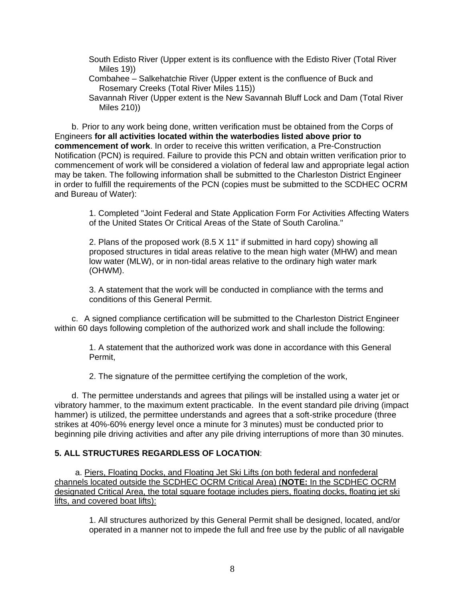- South Edisto River (Upper extent is its confluence with the Edisto River (Total River Miles 19))
- Combahee Salkehatchie River (Upper extent is the confluence of Buck and Rosemary Creeks (Total River Miles 115))
- Savannah River (Upper extent is the New Savannah Bluff Lock and Dam (Total River Miles 210))

b. Prior to any work being done, written verification must be obtained from the Corps of Engineers **for all activities located within the waterbodies listed above prior to commencement of work**. In order to receive this written verification, a Pre-Construction Notification (PCN) is required. Failure to provide this PCN and obtain written verification prior to commencement of work will be considered a violation of federal law and appropriate legal action may be taken. The following information shall be submitted to the Charleston District Engineer in order to fulfill the requirements of the PCN (copies must be submitted to the SCDHEC OCRM and Bureau of Water):

1. Completed "Joint Federal and State Application Form For Activities Affecting Waters of the United States Or Critical Areas of the State of South Carolina."

2. Plans of the proposed work (8.5 X 11" if submitted in hard copy) showing all proposed structures in tidal areas relative to the mean high water (MHW) and mean low water (MLW), or in non-tidal areas relative to the ordinary high water mark (OHWM).

3. A statement that the work will be conducted in compliance with the terms and conditions of this General Permit.

c. A signed compliance certification will be submitted to the Charleston District Engineer within 60 days following completion of the authorized work and shall include the following:

1. A statement that the authorized work was done in accordance with this General Permit,

2. The signature of the permittee certifying the completion of the work,

d. The permittee understands and agrees that pilings will be installed using a water jet or vibratory hammer, to the maximum extent practicable. In the event standard pile driving (impact hammer) is utilized, the permittee understands and agrees that a soft-strike procedure (three strikes at 40%-60% energy level once a minute for 3 minutes) must be conducted prior to beginning pile driving activities and after any pile driving interruptions of more than 30 minutes.

# **5. ALL STRUCTURES REGARDLESS OF LOCATION**:

a. Piers, Floating Docks, and Floating Jet Ski Lifts (on both federal and nonfederal channels located outside the SCDHEC OCRM Critical Area) (**NOTE:** In the SCDHEC OCRM designated Critical Area, the total square footage includes piers, floating docks, floating jet ski lifts, and covered boat lifts):

1. All structures authorized by this General Permit shall be designed, located, and/or operated in a manner not to impede the full and free use by the public of all navigable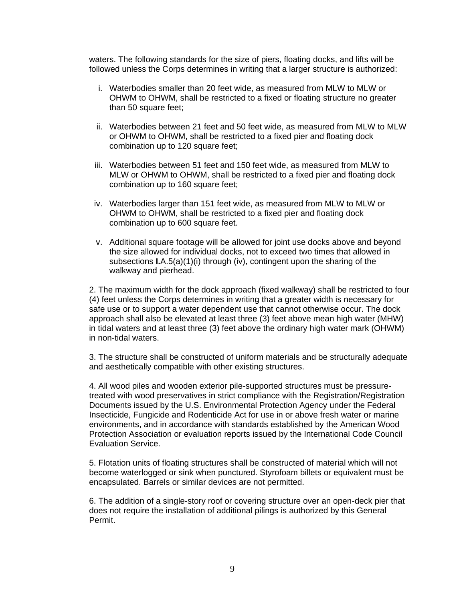waters. The following standards for the size of piers, floating docks, and lifts will be followed unless the Corps determines in writing that a larger structure is authorized:

- i. Waterbodies smaller than 20 feet wide, as measured from MLW to MLW or OHWM to OHWM, shall be restricted to a fixed or floating structure no greater than 50 square feet;
- ii. Waterbodies between 21 feet and 50 feet wide, as measured from MLW to MLW or OHWM to OHWM, shall be restricted to a fixed pier and floating dock combination up to 120 square feet;
- iii. Waterbodies between 51 feet and 150 feet wide, as measured from MLW to MLW or OHWM to OHWM, shall be restricted to a fixed pier and floating dock combination up to 160 square feet;
- iv. Waterbodies larger than 151 feet wide, as measured from MLW to MLW or OHWM to OHWM, shall be restricted to a fixed pier and floating dock combination up to 600 square feet.
- v. Additional square footage will be allowed for joint use docks above and beyond the size allowed for individual docks, not to exceed two times that allowed in subsections **I.**A.5(a)(1)(i) through (iv), contingent upon the sharing of the walkway and pierhead.

2. The maximum width for the dock approach (fixed walkway) shall be restricted to four (4) feet unless the Corps determines in writing that a greater width is necessary for safe use or to support a water dependent use that cannot otherwise occur. The dock approach shall also be elevated at least three (3) feet above mean high water (MHW) in tidal waters and at least three (3) feet above the ordinary high water mark (OHWM) in non-tidal waters.

3. The structure shall be constructed of uniform materials and be structurally adequate and aesthetically compatible with other existing structures.

4. All wood piles and wooden exterior pile-supported structures must be pressuretreated with wood preservatives in strict compliance with the Registration/Registration Documents issued by the U.S. Environmental Protection Agency under the Federal Insecticide, Fungicide and Rodenticide Act for use in or above fresh water or marine environments, and in accordance with standards established by the American Wood Protection Association or evaluation reports issued by the International Code Council Evaluation Service.

5. Flotation units of floating structures shall be constructed of material which will not become waterlogged or sink when punctured. Styrofoam billets or equivalent must be encapsulated. Barrels or similar devices are not permitted.

6. The addition of a single-story roof or covering structure over an open-deck pier that does not require the installation of additional pilings is authorized by this General Permit.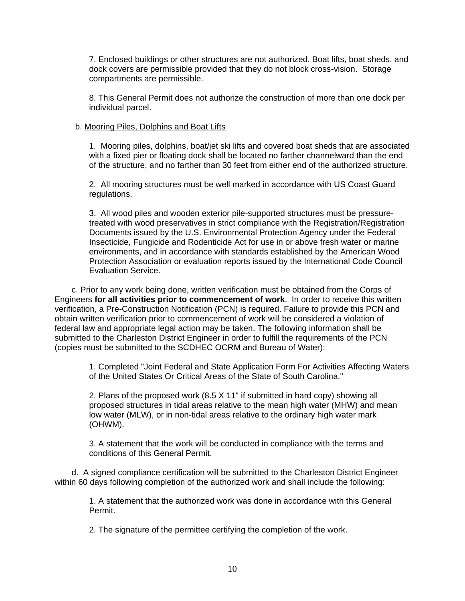7. Enclosed buildings or other structures are not authorized. Boat lifts, boat sheds, and dock covers are permissible provided that they do not block cross-vision. Storage compartments are permissible.

8. This General Permit does not authorize the construction of more than one dock per individual parcel.

#### b. Mooring Piles, Dolphins and Boat Lifts

1. Mooring piles, dolphins, boat/jet ski lifts and covered boat sheds that are associated with a fixed pier or floating dock shall be located no farther channelward than the end of the structure, and no farther than 30 feet from either end of the authorized structure.

2. All mooring structures must be well marked in accordance with US Coast Guard regulations.

3. All wood piles and wooden exterior pile-supported structures must be pressuretreated with wood preservatives in strict compliance with the Registration/Registration Documents issued by the U.S. Environmental Protection Agency under the Federal Insecticide, Fungicide and Rodenticide Act for use in or above fresh water or marine environments, and in accordance with standards established by the American Wood Protection Association or evaluation reports issued by the International Code Council Evaluation Service.

c. Prior to any work being done, written verification must be obtained from the Corps of Engineers **for all activities prior to commencement of work**. In order to receive this written verification, a Pre-Construction Notification (PCN) is required. Failure to provide this PCN and obtain written verification prior to commencement of work will be considered a violation of federal law and appropriate legal action may be taken. The following information shall be submitted to the Charleston District Engineer in order to fulfill the requirements of the PCN (copies must be submitted to the SCDHEC OCRM and Bureau of Water):

1. Completed "Joint Federal and State Application Form For Activities Affecting Waters of the United States Or Critical Areas of the State of South Carolina."

2. Plans of the proposed work (8.5 X 11" if submitted in hard copy) showing all proposed structures in tidal areas relative to the mean high water (MHW) and mean low water (MLW), or in non-tidal areas relative to the ordinary high water mark (OHWM).

3. A statement that the work will be conducted in compliance with the terms and conditions of this General Permit.

d. A signed compliance certification will be submitted to the Charleston District Engineer within 60 days following completion of the authorized work and shall include the following:

> 1. A statement that the authorized work was done in accordance with this General Permit.

2. The signature of the permittee certifying the completion of the work.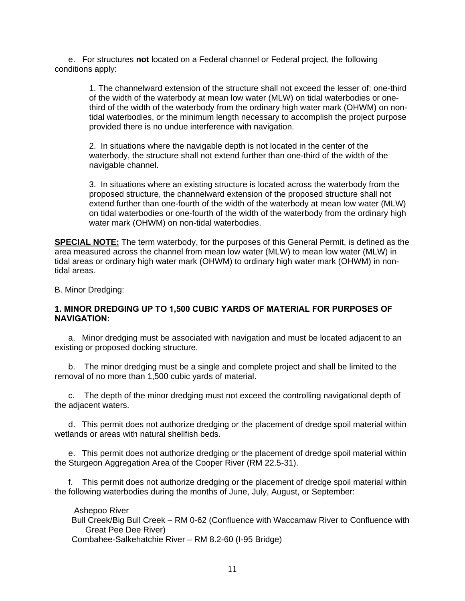e. For structures **not** located on a Federal channel or Federal project, the following conditions apply:

> 1. The channelward extension of the structure shall not exceed the lesser of: one-third of the width of the waterbody at mean low water (MLW) on tidal waterbodies or onethird of the width of the waterbody from the ordinary high water mark (OHWM) on nontidal waterbodies, or the minimum length necessary to accomplish the project purpose provided there is no undue interference with navigation.

2. In situations where the navigable depth is not located in the center of the waterbody, the structure shall not extend further than one-third of the width of the navigable channel.

3. In situations where an existing structure is located across the waterbody from the proposed structure, the channelward extension of the proposed structure shall not extend further than one-fourth of the width of the waterbody at mean low water (MLW) on tidal waterbodies or one-fourth of the width of the waterbody from the ordinary high water mark (OHWM) on non-tidal waterbodies.

**SPECIAL NOTE:** The term waterbody, for the purposes of this General Permit, is defined as the area measured across the channel from mean low water (MLW) to mean low water (MLW) in tidal areas or ordinary high water mark (OHWM) to ordinary high water mark (OHWM) in nontidal areas.

#### B. Minor Dredging:

## **1. MINOR DREDGING UP TO 1,500 CUBIC YARDS OF MATERIAL FOR PURPOSES OF NAVIGATION:**

a. Minor dredging must be associated with navigation and must be located adjacent to an existing or proposed docking structure.

b. The minor dredging must be a single and complete project and shall be limited to the removal of no more than 1,500 cubic yards of material.

c. The depth of the minor dredging must not exceed the controlling navigational depth of the adjacent waters.

d. This permit does not authorize dredging or the placement of dredge spoil material within wetlands or areas with natural shellfish beds.

e. This permit does not authorize dredging or the placement of dredge spoil material within the Sturgeon Aggregation Area of the Cooper River (RM 22.5-31).

f. This permit does not authorize dredging or the placement of dredge spoil material within the following waterbodies during the months of June, July, August, or September:

Ashepoo River

Bull Creek/Big Bull Creek – RM 0-62 (Confluence with Waccamaw River to Confluence with Great Pee Dee River)

Combahee-Salkehatchie River – RM 8.2-60 (I-95 Bridge)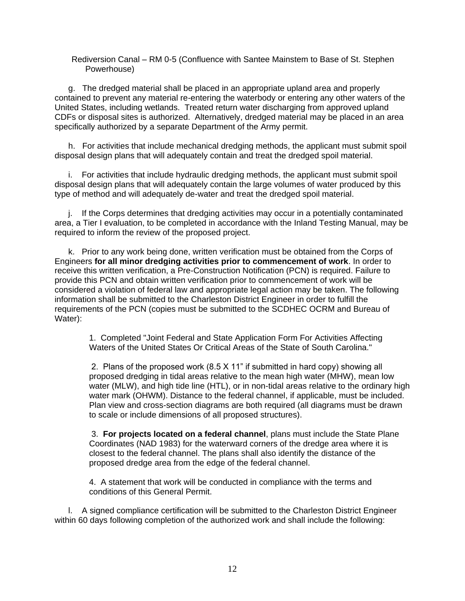Rediversion Canal – RM 0-5 (Confluence with Santee Mainstem to Base of St. Stephen Powerhouse)

g. The dredged material shall be placed in an appropriate upland area and properly contained to prevent any material re-entering the waterbody or entering any other waters of the United States, including wetlands. Treated return water discharging from approved upland CDFs or disposal sites is authorized. Alternatively, dredged material may be placed in an area specifically authorized by a separate Department of the Army permit.

h. For activities that include mechanical dredging methods, the applicant must submit spoil disposal design plans that will adequately contain and treat the dredged spoil material.

i. For activities that include hydraulic dredging methods, the applicant must submit spoil disposal design plans that will adequately contain the large volumes of water produced by this type of method and will adequately de-water and treat the dredged spoil material.

j. If the Corps determines that dredging activities may occur in a potentially contaminated area, a Tier I evaluation, to be completed in accordance with the Inland Testing Manual, may be required to inform the review of the proposed project.

k. Prior to any work being done, written verification must be obtained from the Corps of Engineers **for all minor dredging activities prior to commencement of work**. In order to receive this written verification, a Pre-Construction Notification (PCN) is required. Failure to provide this PCN and obtain written verification prior to commencement of work will be considered a violation of federal law and appropriate legal action may be taken. The following information shall be submitted to the Charleston District Engineer in order to fulfill the requirements of the PCN (copies must be submitted to the SCDHEC OCRM and Bureau of Water):

1. Completed "Joint Federal and State Application Form For Activities Affecting Waters of the United States Or Critical Areas of the State of South Carolina."

2. Plans of the proposed work (8.5 X 11" if submitted in hard copy) showing all proposed dredging in tidal areas relative to the mean high water (MHW), mean low water (MLW), and high tide line (HTL), or in non-tidal areas relative to the ordinary high water mark (OHWM). Distance to the federal channel, if applicable, must be included. Plan view and cross-section diagrams are both required (all diagrams must be drawn to scale or include dimensions of all proposed structures).

3. **For projects located on a federal channel**, plans must include the State Plane Coordinates (NAD 1983) for the waterward corners of the dredge area where it is closest to the federal channel. The plans shall also identify the distance of the proposed dredge area from the edge of the federal channel.

4. A statement that work will be conducted in compliance with the terms and conditions of this General Permit.

l. A signed compliance certification will be submitted to the Charleston District Engineer within 60 days following completion of the authorized work and shall include the following: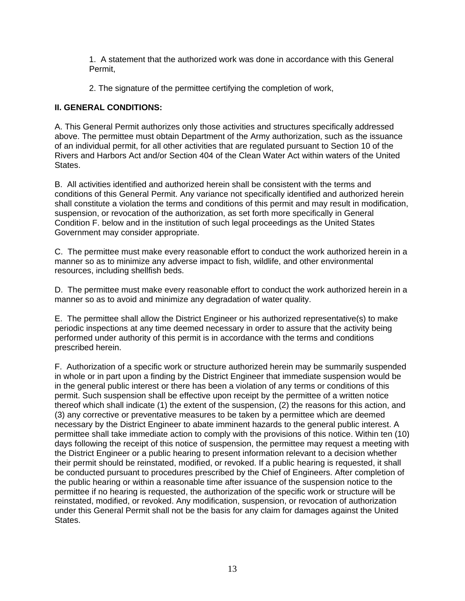1. A statement that the authorized work was done in accordance with this General Permit,

2. The signature of the permittee certifying the completion of work,

# **II. GENERAL CONDITIONS:**

A. This General Permit authorizes only those activities and structures specifically addressed above. The permittee must obtain Department of the Army authorization, such as the issuance of an individual permit, for all other activities that are regulated pursuant to Section 10 of the Rivers and Harbors Act and/or Section 404 of the Clean Water Act within waters of the United States.

B. All activities identified and authorized herein shall be consistent with the terms and conditions of this General Permit. Any variance not specifically identified and authorized herein shall constitute a violation the terms and conditions of this permit and may result in modification, suspension, or revocation of the authorization, as set forth more specifically in General Condition F. below and in the institution of such legal proceedings as the United States Government may consider appropriate.

C. The permittee must make every reasonable effort to conduct the work authorized herein in a manner so as to minimize any adverse impact to fish, wildlife, and other environmental resources, including shellfish beds.

D. The permittee must make every reasonable effort to conduct the work authorized herein in a manner so as to avoid and minimize any degradation of water quality.

E. The permittee shall allow the District Engineer or his authorized representative(s) to make periodic inspections at any time deemed necessary in order to assure that the activity being performed under authority of this permit is in accordance with the terms and conditions prescribed herein.

F. Authorization of a specific work or structure authorized herein may be summarily suspended in whole or in part upon a finding by the District Engineer that immediate suspension would be in the general public interest or there has been a violation of any terms or conditions of this permit. Such suspension shall be effective upon receipt by the permittee of a written notice thereof which shall indicate (1) the extent of the suspension, (2) the reasons for this action, and (3) any corrective or preventative measures to be taken by a permittee which are deemed necessary by the District Engineer to abate imminent hazards to the general public interest. A permittee shall take immediate action to comply with the provisions of this notice. Within ten (10) days following the receipt of this notice of suspension, the permittee may request a meeting with the District Engineer or a public hearing to present information relevant to a decision whether their permit should be reinstated, modified, or revoked. If a public hearing is requested, it shall be conducted pursuant to procedures prescribed by the Chief of Engineers. After completion of the public hearing or within a reasonable time after issuance of the suspension notice to the permittee if no hearing is requested, the authorization of the specific work or structure will be reinstated, modified, or revoked. Any modification, suspension, or revocation of authorization under this General Permit shall not be the basis for any claim for damages against the United States.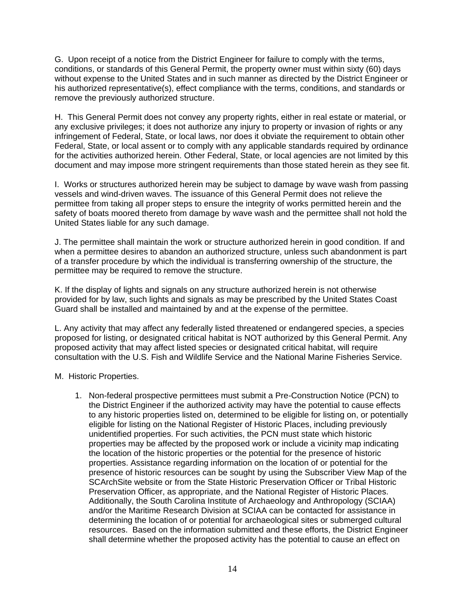G. Upon receipt of a notice from the District Engineer for failure to comply with the terms, conditions, or standards of this General Permit, the property owner must within sixty (60) days without expense to the United States and in such manner as directed by the District Engineer or his authorized representative(s), effect compliance with the terms, conditions, and standards or remove the previously authorized structure.

H. This General Permit does not convey any property rights, either in real estate or material, or any exclusive privileges; it does not authorize any injury to property or invasion of rights or any infringement of Federal, State, or local laws, nor does it obviate the requirement to obtain other Federal, State, or local assent or to comply with any applicable standards required by ordinance for the activities authorized herein. Other Federal, State, or local agencies are not limited by this document and may impose more stringent requirements than those stated herein as they see fit.

I. Works or structures authorized herein may be subject to damage by wave wash from passing vessels and wind-driven waves. The issuance of this General Permit does not relieve the permittee from taking all proper steps to ensure the integrity of works permitted herein and the safety of boats moored thereto from damage by wave wash and the permittee shall not hold the United States liable for any such damage.

J. The permittee shall maintain the work or structure authorized herein in good condition. If and when a permittee desires to abandon an authorized structure, unless such abandonment is part of a transfer procedure by which the individual is transferring ownership of the structure, the permittee may be required to remove the structure.

K. If the display of lights and signals on any structure authorized herein is not otherwise provided for by law, such lights and signals as may be prescribed by the United States Coast Guard shall be installed and maintained by and at the expense of the permittee.

L. Any activity that may affect any federally listed threatened or endangered species, a species proposed for listing, or designated critical habitat is NOT authorized by this General Permit. Any proposed activity that may affect listed species or designated critical habitat, will require consultation with the U.S. Fish and Wildlife Service and the National Marine Fisheries Service.

- M. Historic Properties.
	- 1. Non-federal prospective permittees must submit a Pre-Construction Notice (PCN) to the District Engineer if the authorized activity may have the potential to cause effects to any historic properties listed on, determined to be eligible for listing on, or potentially eligible for listing on the National Register of Historic Places, including previously unidentified properties. For such activities, the PCN must state which historic properties may be affected by the proposed work or include a vicinity map indicating the location of the historic properties or the potential for the presence of historic properties. Assistance regarding information on the location of or potential for the presence of historic resources can be sought by using the Subscriber View Map of the SCArchSite website or from the State Historic Preservation Officer or Tribal Historic Preservation Officer, as appropriate, and the National Register of Historic Places. Additionally, the South Carolina Institute of Archaeology and Anthropology (SCIAA) and/or the Maritime Research Division at SCIAA can be contacted for assistance in determining the location of or potential for archaeological sites or submerged cultural resources. Based on the information submitted and these efforts, the District Engineer shall determine whether the proposed activity has the potential to cause an effect on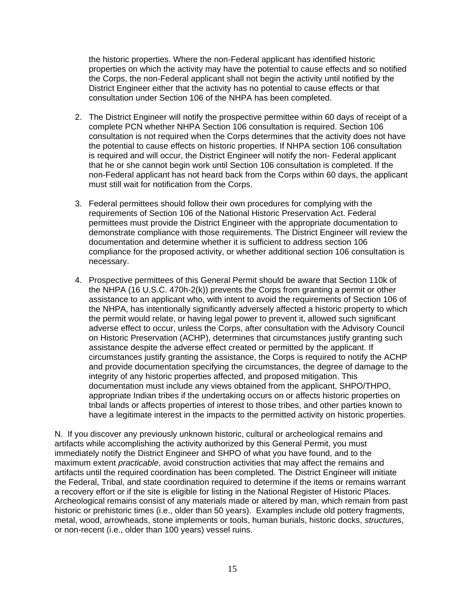the historic properties. Where the non-Federal applicant has identified historic properties on which the activity may have the potential to cause effects and so notified the Corps, the non-Federal applicant shall not begin the activity until notified by the District Engineer either that the activity has no potential to cause effects or that consultation under Section 106 of the NHPA has been completed.

- 2. The District Engineer will notify the prospective permittee within 60 days of receipt of a complete PCN whether NHPA Section 106 consultation is required. Section 106 consultation is not required when the Corps determines that the activity does not have the potential to cause effects on historic properties. If NHPA section 106 consultation is required and will occur, the District Engineer will notify the non- Federal applicant that he or she cannot begin work until Section 106 consultation is completed. If the non-Federal applicant has not heard back from the Corps within 60 days, the applicant must still wait for notification from the Corps.
- 3. Federal permittees should follow their own procedures for complying with the requirements of Section 106 of the National Historic Preservation Act. Federal permittees must provide the District Engineer with the appropriate documentation to demonstrate compliance with those requirements. The District Engineer will review the documentation and determine whether it is sufficient to address section 106 compliance for the proposed activity, or whether additional section 106 consultation is necessary.
- 4. Prospective permittees of this General Permit should be aware that Section 110k of the NHPA (16 U.S.C. 470h-2(k)) prevents the Corps from granting a permit or other assistance to an applicant who, with intent to avoid the requirements of Section 106 of the NHPA, has intentionally significantly adversely affected a historic property to which the permit would relate, or having legal power to prevent it, allowed such significant adverse effect to occur, unless the Corps, after consultation with the Advisory Council on Historic Preservation (ACHP), determines that circumstances justify granting such assistance despite the adverse effect created or permitted by the applicant. If circumstances justify granting the assistance, the Corps is required to notify the ACHP and provide documentation specifying the circumstances, the degree of damage to the integrity of any historic properties affected, and proposed mitigation. This documentation must include any views obtained from the applicant, SHPO/THPO, appropriate Indian tribes if the undertaking occurs on or affects historic properties on tribal lands or affects properties of interest to those tribes, and other parties known to have a legitimate interest in the impacts to the permitted activity on historic properties.

N. If you discover any previously unknown historic, cultural or archeological remains and artifacts while accomplishing the activity authorized by this General Permit, you must immediately notify the District Engineer and SHPO of what you have found, and to the maximum extent *practicable*, avoid construction activities that may affect the remains and artifacts until the required coordination has been completed. The District Engineer will initiate the Federal, Tribal, and state coordination required to determine if the items or remains warrant a recovery effort or if the site is eligible for listing in the National Register of Historic Places. Archeological remains consist of any materials made or altered by man, which remain from past historic or prehistoric times (i.e., older than 50 years). Examples include old pottery fragments, metal, wood, arrowheads, stone implements or tools, human burials, historic docks, *structure*s, or non-recent (i.e., older than 100 years) vessel ruins.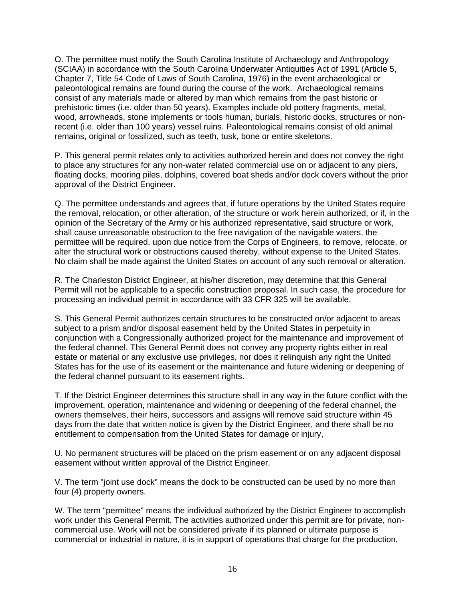O. The permittee must notify the South Carolina Institute of Archaeology and Anthropology (SCIAA) in accordance with the South Carolina Underwater Antiquities Act of 1991 (Article 5, Chapter 7, Title 54 Code of Laws of South Carolina, 1976) in the event archaeological or paleontological remains are found during the course of the work. Archaeological remains consist of any materials made or altered by man which remains from the past historic or prehistoric times (i.e. older than 50 years). Examples include old pottery fragments, metal, wood, arrowheads, stone implements or tools human, burials, historic docks, structures or nonrecent (i.e. older than 100 years) vessel ruins. Paleontological remains consist of old animal remains, original or fossilized, such as teeth, tusk, bone or entire skeletons.

P. This general permit relates only to activities authorized herein and does not convey the right to place any structures for any non-water related commercial use on or adjacent to any piers, floating docks, mooring piles, dolphins, covered boat sheds and/or dock covers without the prior approval of the District Engineer.

Q. The permittee understands and agrees that, if future operations by the United States require the removal, relocation, or other alteration, of the structure or work herein authorized, or if, in the opinion of the Secretary of the Army or his authorized representative, said structure or work, shall cause unreasonable obstruction to the free navigation of the navigable waters, the permittee will be required, upon due notice from the Corps of Engineers, to remove, relocate, or alter the structural work or obstructions caused thereby, without expense to the United States. No claim shall be made against the United States on account of any such removal or alteration.

R. The Charleston District Engineer, at his/her discretion, may determine that this General Permit will not be applicable to a specific construction proposal. In such case, the procedure for processing an individual permit in accordance with 33 CFR 325 will be available.

S. This General Permit authorizes certain structures to be constructed on/or adjacent to areas subject to a prism and/or disposal easement held by the United States in perpetuity in conjunction with a Congressionally authorized project for the maintenance and improvement of the federal channel. This General Permit does not convey any property rights either in real estate or material or any exclusive use privileges, nor does it relinquish any right the United States has for the use of its easement or the maintenance and future widening or deepening of the federal channel pursuant to its easement rights.

T. If the District Engineer determines this structure shall in any way in the future conflict with the improvement, operation, maintenance and widening or deepening of the federal channel, the owners themselves, their heirs, successors and assigns will remove said structure within 45 days from the date that written notice is given by the District Engineer, and there shall be no entitlement to compensation from the United States for damage or injury,

U. No permanent structures will be placed on the prism easement or on any adjacent disposal easement without written approval of the District Engineer.

V. The term "joint use dock" means the dock to be constructed can be used by no more than four (4) property owners.

W. The term "permittee" means the individual authorized by the District Engineer to accomplish work under this General Permit. The activities authorized under this permit are for private, noncommercial use. Work will not be considered private if its planned or ultimate purpose is commercial or industrial in nature, it is in support of operations that charge for the production,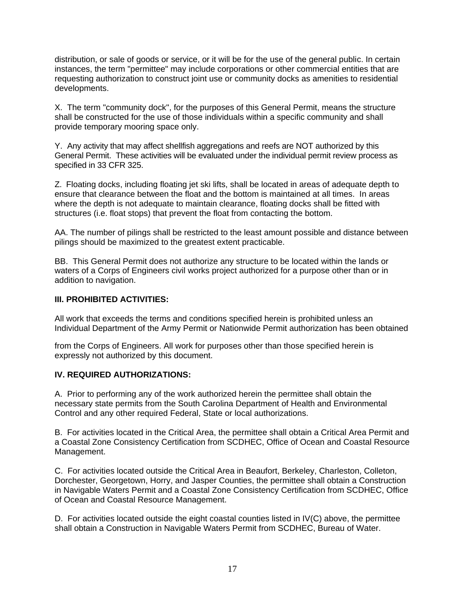distribution, or sale of goods or service, or it will be for the use of the general public. In certain instances, the term "permittee" may include corporations or other commercial entities that are requesting authorization to construct joint use or community docks as amenities to residential developments.

X. The term "community dock", for the purposes of this General Permit, means the structure shall be constructed for the use of those individuals within a specific community and shall provide temporary mooring space only.

Y. Any activity that may affect shellfish aggregations and reefs are NOT authorized by this General Permit. These activities will be evaluated under the individual permit review process as specified in 33 CFR 325.

Z. Floating docks, including floating jet ski lifts, shall be located in areas of adequate depth to ensure that clearance between the float and the bottom is maintained at all times. In areas where the depth is not adequate to maintain clearance, floating docks shall be fitted with structures (i.e. float stops) that prevent the float from contacting the bottom.

AA. The number of pilings shall be restricted to the least amount possible and distance between pilings should be maximized to the greatest extent practicable.

BB. This General Permit does not authorize any structure to be located within the lands or waters of a Corps of Engineers civil works project authorized for a purpose other than or in addition to navigation.

## **III. PROHIBITED ACTIVITIES:**

All work that exceeds the terms and conditions specified herein is prohibited unless an Individual Department of the Army Permit or Nationwide Permit authorization has been obtained

from the Corps of Engineers. All work for purposes other than those specified herein is expressly not authorized by this document.

# **IV. REQUIRED AUTHORIZATIONS:**

A. Prior to performing any of the work authorized herein the permittee shall obtain the necessary state permits from the South Carolina Department of Health and Environmental Control and any other required Federal, State or local authorizations.

B. For activities located in the Critical Area, the permittee shall obtain a Critical Area Permit and a Coastal Zone Consistency Certification from SCDHEC, Office of Ocean and Coastal Resource Management.

C. For activities located outside the Critical Area in Beaufort, Berkeley, Charleston, Colleton, Dorchester, Georgetown, Horry, and Jasper Counties, the permittee shall obtain a Construction in Navigable Waters Permit and a Coastal Zone Consistency Certification from SCDHEC, Office of Ocean and Coastal Resource Management.

D. For activities located outside the eight coastal counties listed in IV(C) above, the permittee shall obtain a Construction in Navigable Waters Permit from SCDHEC, Bureau of Water.